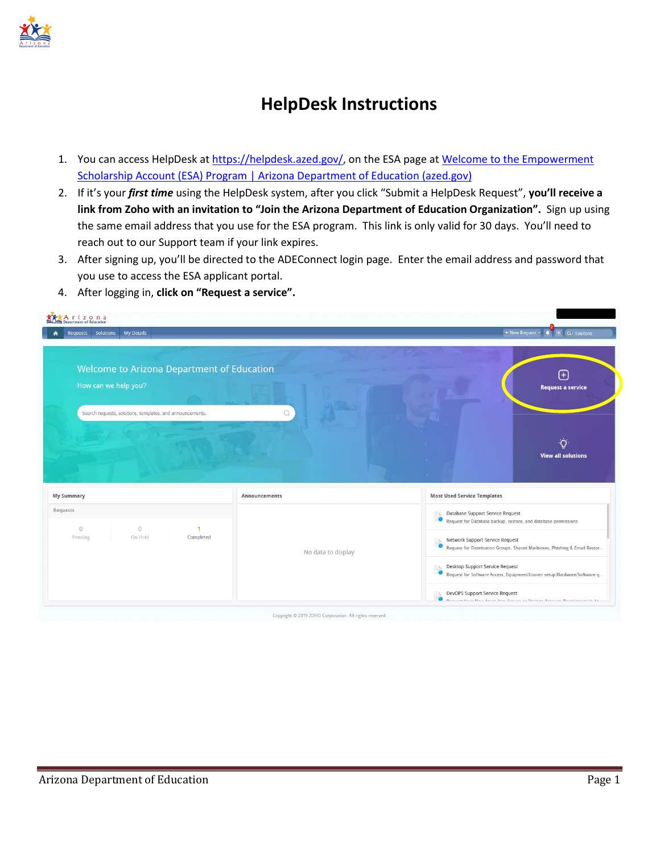

## **HelpDesk Instructions**

- 1. You can access HelpDesk at [https://helpdesk.azed.gov/,](https://helpdesk.azed.gov/) on the ESA page at Welcome to the Empowerment [Scholarship Account \(ESA\) Program | Arizona Department of Education \(azed.gov\)](https://www.azed.gov/esa)
- 2. If it's your *first time* using the HelpDesk system, after you click "Submit a HelpDesk Request", **you'll receive a link from Zoho with an invitation to "Join the Arizona Department of Education Organization".** Sign up using the same email address that you use for the ESA program. This link is only valid for 30 days. You'll need to reach out to our Support team if your link expires.
- 3. After signing up, you'll be directed to the ADEConnect login page. Enter the email address and password that you use to access the ESA applicant portal.
- 4. After logging in, **click on "Request a service".**

| <b>My Details</b><br>Requests Solutions                                   |                    | + New Request -<br>目 Q- Solutions<br>×                                                                                       |
|---------------------------------------------------------------------------|--------------------|------------------------------------------------------------------------------------------------------------------------------|
| <b>Welcome to Arizona Department of Education</b><br>How can we help you? |                    | $^{(+)}$<br><b>Request a service</b>                                                                                         |
| Search requests, solutions, templates, and announcements.                 | Q                  |                                                                                                                              |
|                                                                           |                    | <b>View all solutions</b>                                                                                                    |
| <b>My Summary</b>                                                         | Announcements      | <b>Most Used Service Templates</b>                                                                                           |
| Requests<br>$\circ$<br>$\Omega$                                           |                    | Database Support Service Request<br>$=$ $\mathbb{R}$<br>Request for Database backup, restore, and database permissions       |
| On Hold<br>Completed<br>Pending                                           | No data to display | Network Support Service Request<br>$=$ b.<br>Request for Distribution Groups, Shared Mailboxes, Phishing & Email Restor<br>O |
|                                                                           |                    | Desktop Support Service Request<br>EN<br>Request for Software Access, Equipment/Loaner setup, Hardware/Software q.           |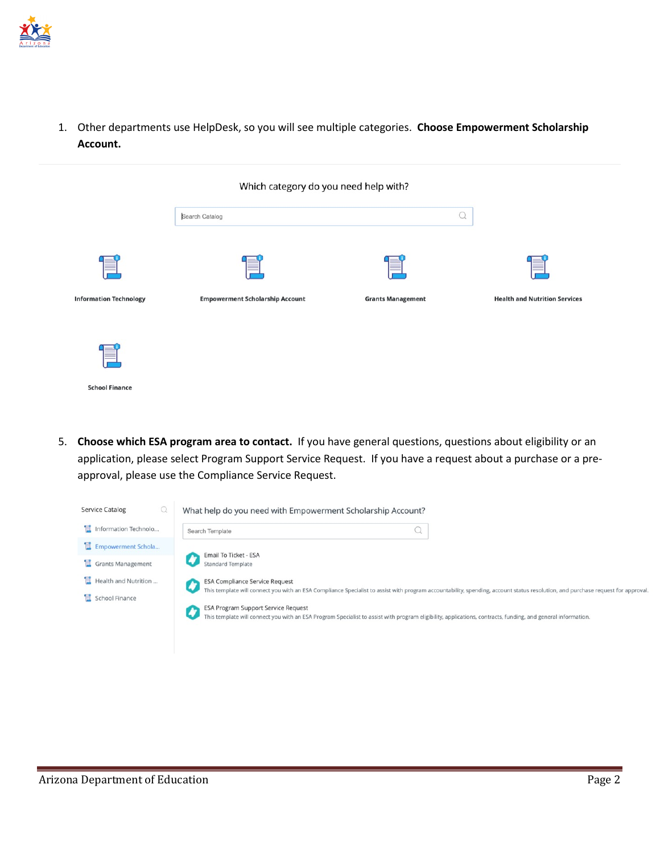

1. Other departments use HelpDesk, so you will see multiple categories. **Choose Empowerment Scholarship Account.**

|                               | Which category do you need help with?  |                          |                                      |
|-------------------------------|----------------------------------------|--------------------------|--------------------------------------|
|                               | Search Catalog                         |                          |                                      |
|                               |                                        |                          |                                      |
| <b>Information Technology</b> | <b>Empowerment Scholarship Account</b> | <b>Grants Management</b> | <b>Health and Nutrition Services</b> |
|                               |                                        |                          |                                      |
| <b>School Finance</b>         |                                        |                          |                                      |

5. **Choose which ESA program area to contact.** If you have general questions, questions about eligibility or an application, please select Program Support Service Request. If you have a request about a purchase or a preapproval, please use the Compliance Service Request.

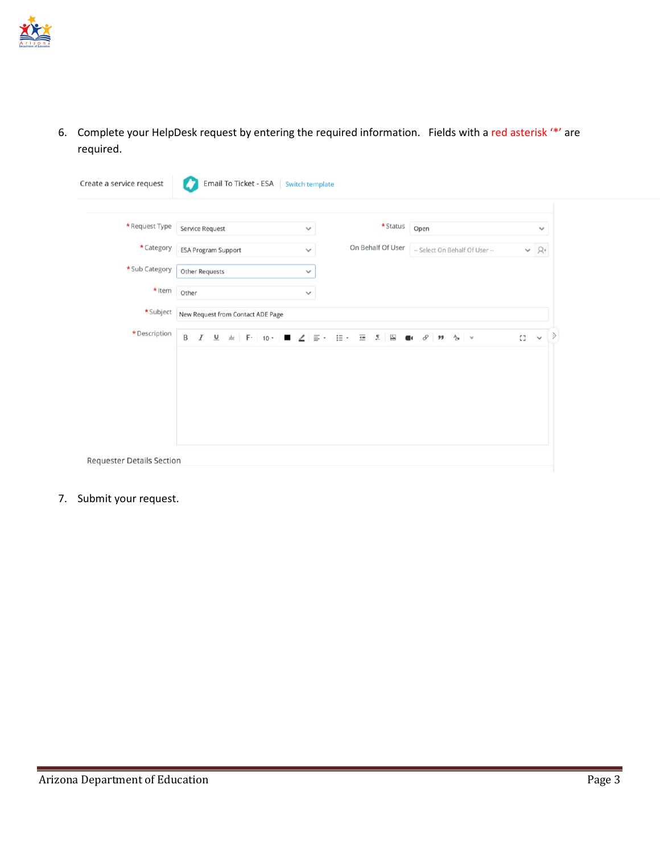

6. Complete your HelpDesk request by entering the required information. Fields with a red asterisk '\*' are required.

| *Request Type  | Service Request<br>$\checkmark$                                       | * Status                                                                                          | Open                                               |    | $\checkmark$ |
|----------------|-----------------------------------------------------------------------|---------------------------------------------------------------------------------------------------|----------------------------------------------------|----|--------------|
| * Category     | <b>ESA Program Support</b><br>$\checkmark$                            | On Behalf Of User                                                                                 | -- Select On Behalf Of User --                     |    | $\vee$ $R^+$ |
| * Sub Category | <b>Other Requests</b><br>$\checkmark$                                 |                                                                                                   |                                                    |    |              |
| * Item         | Other<br>$\checkmark$                                                 |                                                                                                   |                                                    |    |              |
| *Subject       | New Request from Contact ADE Page                                     |                                                                                                   |                                                    |    |              |
| * Description  | B<br>abs $F - 10$ $-$<br>$\boldsymbol{I}$<br>$\underline{\mathsf{u}}$ | $\overline{\mathbf{1}}$<br>$\overline{\phantom{a}}$<br>$\mathbf{z}$<br>$\angle$ = $\cdot$<br>i= * | $\blacksquare$ 1 $\varnothing$ 99<br>$4$ $\approx$ | 53 | $\checkmark$ |
|                |                                                                       |                                                                                                   |                                                    |    |              |
|                |                                                                       |                                                                                                   |                                                    |    |              |

7. Submit your request.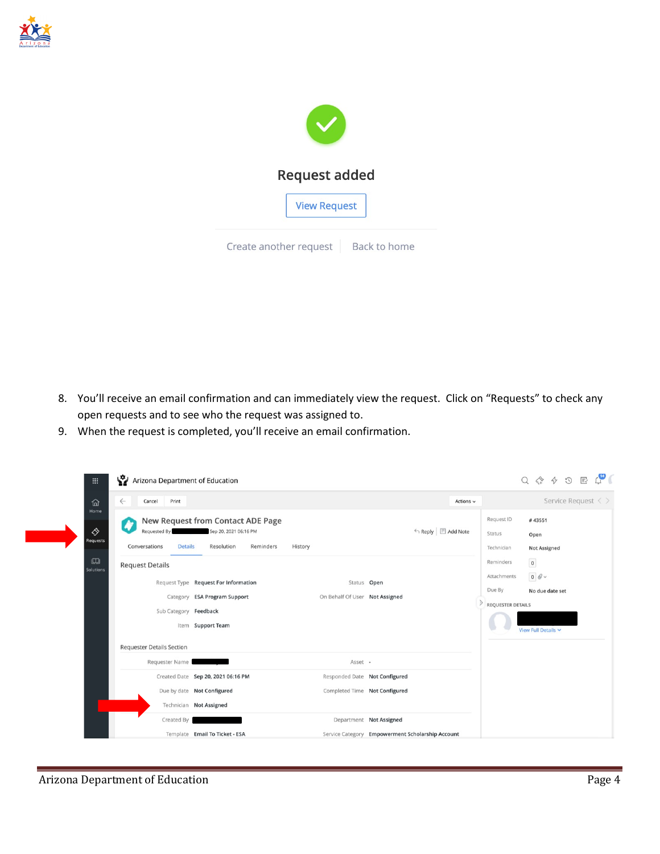



- 8. You'll receive an email confirmation and can immediately view the request. Click on "Requests" to check any open requests and to see who the request was assigned to.
- 9. When the request is completed, you'll receive an email confirmation.

| Arizona Department of Education<br>$\dddot{m}$                                                                                               |                                                                                                  |                                |                                                  |                                                                | $\mathbb{C}^{\bullet}$<br>Q & & O E                                        |
|----------------------------------------------------------------------------------------------------------------------------------------------|--------------------------------------------------------------------------------------------------|--------------------------------|--------------------------------------------------|----------------------------------------------------------------|----------------------------------------------------------------------------|
| Print<br>仚<br>Cancel<br>$\leftarrow$                                                                                                         |                                                                                                  |                                | Actions $\sim$                                   |                                                                | Service Request $\langle \rangle$                                          |
| Home<br>♦<br>Requested By<br><b>Requests</b><br>Conversations<br><b>Details</b><br>$\boxed{1}$<br><b>Request Details</b><br><b>Solutions</b> | New Request from Contact ADE Page<br>Sep 20, 2021 06:16 PM<br>Reminders<br>Resolution<br>History |                                | ← Reply E Add Note                               | Request ID<br>Status<br>Technician<br>Reminders<br>Attachments | #43551<br>Open<br><b>Not Assigned</b><br>$\pmb{\mathfrak{o}}$              |
|                                                                                                                                              | Request Type Request For Information                                                             | Status Open                    |                                                  | Due By                                                         | $\begin{smallmatrix} 0 \end{smallmatrix}$ $\ensuremath{\mathscr{O}} \circ$ |
|                                                                                                                                              | Category ESA Program Support                                                                     | On Behalf Of User Not Assigned |                                                  |                                                                | No due date set                                                            |
| Sub Category Feedback                                                                                                                        |                                                                                                  |                                |                                                  | <b>REQUESTER DETAILS</b>                                       |                                                                            |
|                                                                                                                                              | Item Support Team                                                                                |                                |                                                  |                                                                | View Full Details V                                                        |
| <b>Requester Details Section</b>                                                                                                             |                                                                                                  |                                |                                                  |                                                                |                                                                            |
| Requester Name                                                                                                                               |                                                                                                  | Asset -                        |                                                  |                                                                |                                                                            |
|                                                                                                                                              | Created Date Sep 20, 2021 06:16 PM                                                               | Responded Date Not Configured  |                                                  |                                                                |                                                                            |
|                                                                                                                                              | Due by date Not Configured                                                                       | Completed Time Not Configured  |                                                  |                                                                |                                                                            |
|                                                                                                                                              | Technician Not Assigned                                                                          |                                |                                                  |                                                                |                                                                            |
| Created By                                                                                                                                   |                                                                                                  | Department Not Assigned        |                                                  |                                                                |                                                                            |
|                                                                                                                                              | Template Email To Ticket - ESA                                                                   |                                | Service Category Empowerment Scholarship Account |                                                                |                                                                            |